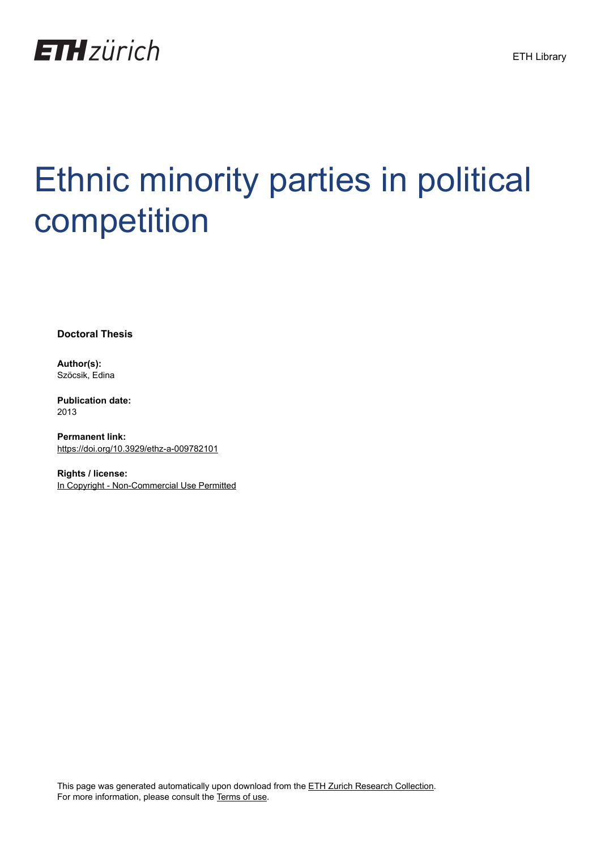

## Ethnic minority parties in political competition

**Doctoral Thesis**

**Author(s):** Szöcsik, Edina

**Publication date:** 2013

**Permanent link:** <https://doi.org/10.3929/ethz-a-009782101>

**Rights / license:** [In Copyright - Non-Commercial Use Permitted](http://rightsstatements.org/page/InC-NC/1.0/)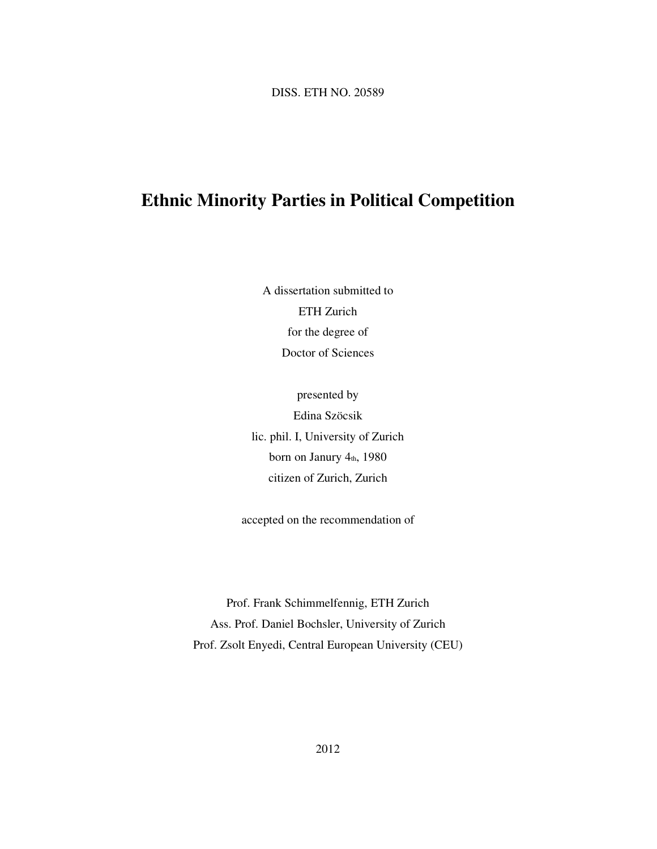DISS. ETH NO. 20589

## **Ethnic Minority Parties in Political Competition**

A dissertation submitted to ETH Zurich for the degree of Doctor of Sciences

presented by Edina Szöcsik lic. phil. I, University of Zurich born on Janury 4th, 1980 citizen of Zurich, Zurich

accepted on the recommendation of

Prof. Frank Schimmelfennig, ETH Zurich Ass. Prof. Daniel Bochsler, University of Zurich Prof. Zsolt Enyedi, Central European University (CEU)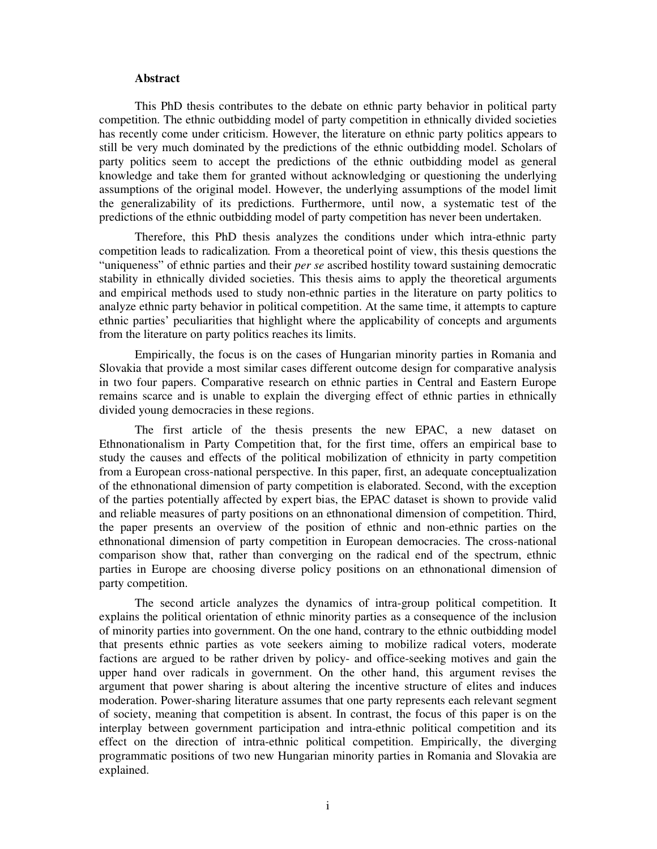## **Abstract**

This PhD thesis contributes to the debate on ethnic party behavior in political party competition. The ethnic outbidding model of party competition in ethnically divided societies has recently come under criticism. However, the literature on ethnic party politics appears to still be very much dominated by the predictions of the ethnic outbidding model. Scholars of party politics seem to accept the predictions of the ethnic outbidding model as general knowledge and take them for granted without acknowledging or questioning the underlying assumptions of the original model. However, the underlying assumptions of the model limit the generalizability of its predictions. Furthermore, until now, a systematic test of the predictions of the ethnic outbidding model of party competition has never been undertaken.

Therefore, this PhD thesis analyzes the conditions under which intra-ethnic party competition leads to radicalization*.* From a theoretical point of view, this thesis questions the "uniqueness" of ethnic parties and their *per se* ascribed hostility toward sustaining democratic stability in ethnically divided societies. This thesis aims to apply the theoretical arguments and empirical methods used to study non-ethnic parties in the literature on party politics to analyze ethnic party behavior in political competition. At the same time, it attempts to capture ethnic parties' peculiarities that highlight where the applicability of concepts and arguments from the literature on party politics reaches its limits.

Empirically, the focus is on the cases of Hungarian minority parties in Romania and Slovakia that provide a most similar cases different outcome design for comparative analysis in two four papers. Comparative research on ethnic parties in Central and Eastern Europe remains scarce and is unable to explain the diverging effect of ethnic parties in ethnically divided young democracies in these regions.

The first article of the thesis presents the new EPAC, a new dataset on Ethnonationalism in Party Competition that, for the first time, offers an empirical base to study the causes and effects of the political mobilization of ethnicity in party competition from a European cross-national perspective. In this paper, first, an adequate conceptualization of the ethnonational dimension of party competition is elaborated. Second, with the exception of the parties potentially affected by expert bias, the EPAC dataset is shown to provide valid and reliable measures of party positions on an ethnonational dimension of competition. Third, the paper presents an overview of the position of ethnic and non-ethnic parties on the ethnonational dimension of party competition in European democracies. The cross-national comparison show that, rather than converging on the radical end of the spectrum, ethnic parties in Europe are choosing diverse policy positions on an ethnonational dimension of party competition.

The second article analyzes the dynamics of intra-group political competition. It explains the political orientation of ethnic minority parties as a consequence of the inclusion of minority parties into government. On the one hand, contrary to the ethnic outbidding model that presents ethnic parties as vote seekers aiming to mobilize radical voters, moderate factions are argued to be rather driven by policy- and office-seeking motives and gain the upper hand over radicals in government. On the other hand, this argument revises the argument that power sharing is about altering the incentive structure of elites and induces moderation. Power-sharing literature assumes that one party represents each relevant segment of society, meaning that competition is absent. In contrast, the focus of this paper is on the interplay between government participation and intra-ethnic political competition and its effect on the direction of intra-ethnic political competition. Empirically, the diverging programmatic positions of two new Hungarian minority parties in Romania and Slovakia are explained.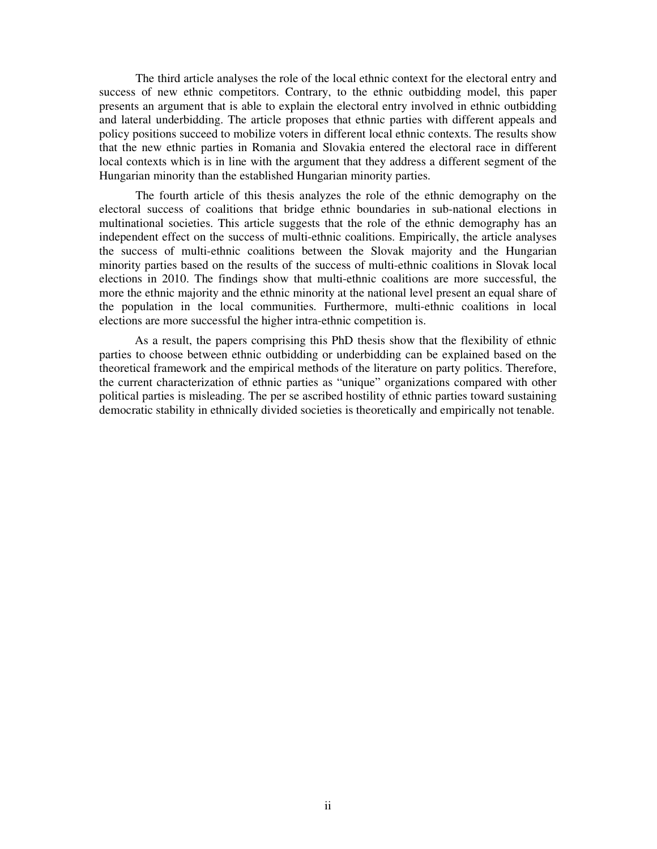The third article analyses the role of the local ethnic context for the electoral entry and success of new ethnic competitors. Contrary, to the ethnic outbidding model, this paper presents an argument that is able to explain the electoral entry involved in ethnic outbidding and lateral underbidding. The article proposes that ethnic parties with different appeals and policy positions succeed to mobilize voters in different local ethnic contexts. The results show that the new ethnic parties in Romania and Slovakia entered the electoral race in different local contexts which is in line with the argument that they address a different segment of the Hungarian minority than the established Hungarian minority parties.

The fourth article of this thesis analyzes the role of the ethnic demography on the electoral success of coalitions that bridge ethnic boundaries in sub-national elections in multinational societies. This article suggests that the role of the ethnic demography has an independent effect on the success of multi-ethnic coalitions. Empirically, the article analyses the success of multi-ethnic coalitions between the Slovak majority and the Hungarian minority parties based on the results of the success of multi-ethnic coalitions in Slovak local elections in 2010. The findings show that multi-ethnic coalitions are more successful, the more the ethnic majority and the ethnic minority at the national level present an equal share of the population in the local communities. Furthermore, multi-ethnic coalitions in local elections are more successful the higher intra-ethnic competition is.

As a result, the papers comprising this PhD thesis show that the flexibility of ethnic parties to choose between ethnic outbidding or underbidding can be explained based on the theoretical framework and the empirical methods of the literature on party politics. Therefore, the current characterization of ethnic parties as "unique" organizations compared with other political parties is misleading. The per se ascribed hostility of ethnic parties toward sustaining democratic stability in ethnically divided societies is theoretically and empirically not tenable.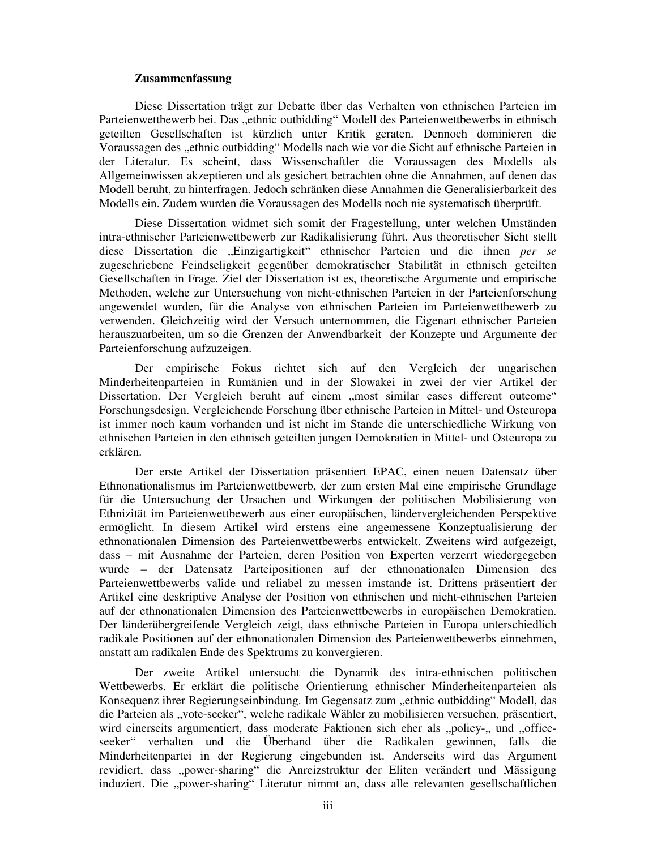## **Zusammenfassung**

Diese Dissertation trägt zur Debatte über das Verhalten von ethnischen Parteien im Parteienwettbewerb bei. Das "ethnic outbidding" Modell des Parteienwettbewerbs in ethnisch geteilten Gesellschaften ist kürzlich unter Kritik geraten. Dennoch dominieren die Voraussagen des "ethnic outbidding" Modells nach wie vor die Sicht auf ethnische Parteien in der Literatur. Es scheint, dass Wissenschaftler die Voraussagen des Modells als Allgemeinwissen akzeptieren und als gesichert betrachten ohne die Annahmen, auf denen das Modell beruht, zu hinterfragen. Jedoch schränken diese Annahmen die Generalisierbarkeit des Modells ein. Zudem wurden die Voraussagen des Modells noch nie systematisch überprüft.

Diese Dissertation widmet sich somit der Fragestellung, unter welchen Umständen intra-ethnischer Parteienwettbewerb zur Radikalisierung führt. Aus theoretischer Sicht stellt diese Dissertation die "Einzigartigkeit" ethnischer Parteien und die ihnen *per se* zugeschriebene Feindseligkeit gegenüber demokratischer Stabilität in ethnisch geteilten Gesellschaften in Frage. Ziel der Dissertation ist es, theoretische Argumente und empirische Methoden, welche zur Untersuchung von nicht-ethnischen Parteien in der Parteienforschung angewendet wurden, für die Analyse von ethnischen Parteien im Parteienwettbewerb zu verwenden. Gleichzeitig wird der Versuch unternommen, die Eigenart ethnischer Parteien herauszuarbeiten, um so die Grenzen der Anwendbarkeit der Konzepte und Argumente der Parteienforschung aufzuzeigen.

Der empirische Fokus richtet sich auf den Vergleich der ungarischen Minderheitenparteien in Rumänien und in der Slowakei in zwei der vier Artikel der Dissertation. Der Vergleich beruht auf einem "most similar cases different outcome" Forschungsdesign. Vergleichende Forschung über ethnische Parteien in Mittel- und Osteuropa ist immer noch kaum vorhanden und ist nicht im Stande die unterschiedliche Wirkung von ethnischen Parteien in den ethnisch geteilten jungen Demokratien in Mittel- und Osteuropa zu erklären.

Der erste Artikel der Dissertation präsentiert EPAC, einen neuen Datensatz über Ethnonationalismus im Parteienwettbewerb, der zum ersten Mal eine empirische Grundlage für die Untersuchung der Ursachen und Wirkungen der politischen Mobilisierung von Ethnizität im Parteienwettbewerb aus einer europäischen, ländervergleichenden Perspektive ermöglicht. In diesem Artikel wird erstens eine angemessene Konzeptualisierung der ethnonationalen Dimension des Parteienwettbewerbs entwickelt. Zweitens wird aufgezeigt, dass – mit Ausnahme der Parteien, deren Position von Experten verzerrt wiedergegeben wurde – der Datensatz Parteipositionen auf der ethnonationalen Dimension des Parteienwettbewerbs valide und reliabel zu messen imstande ist. Drittens präsentiert der Artikel eine deskriptive Analyse der Position von ethnischen und nicht-ethnischen Parteien auf der ethnonationalen Dimension des Parteienwettbewerbs in europäischen Demokratien. Der länderübergreifende Vergleich zeigt, dass ethnische Parteien in Europa unterschiedlich radikale Positionen auf der ethnonationalen Dimension des Parteienwettbewerbs einnehmen, anstatt am radikalen Ende des Spektrums zu konvergieren.

Der zweite Artikel untersucht die Dynamik des intra-ethnischen politischen Wettbewerbs. Er erklärt die politische Orientierung ethnischer Minderheitenparteien als Konsequenz ihrer Regierungseinbindung. Im Gegensatz zum "ethnic outbidding" Modell, das die Parteien als "vote-seeker", welche radikale Wähler zu mobilisieren versuchen, präsentiert, wird einerseits argumentiert, dass moderate Faktionen sich eher als "policy-" und "officeseeker" verhalten und die Überhand über die Radikalen gewinnen, falls die Minderheitenpartei in der Regierung eingebunden ist. Anderseits wird das Argument revidiert, dass "power-sharing" die Anreizstruktur der Eliten verändert und Mässigung induziert. Die "power-sharing" Literatur nimmt an, dass alle relevanten gesellschaftlichen